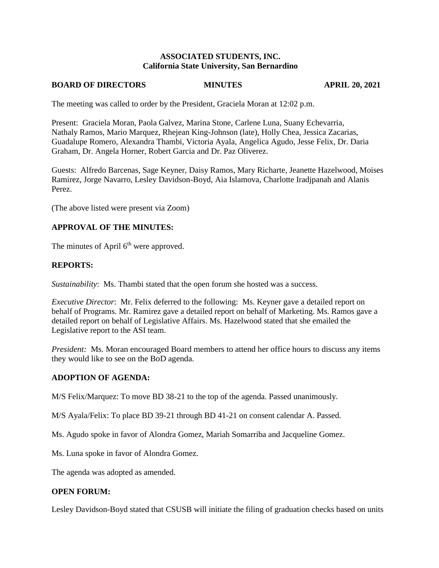# **ASSOCIATED STUDENTS, INC. California State University, San Bernardino**

#### **BOARD OF DIRECTORS MINUTES APRIL 20, 2021**

The meeting was called to order by the President, Graciela Moran at 12:02 p.m.

Present: Graciela Moran, Paola Galvez, Marina Stone, Carlene Luna, Suany Echevarria, Nathaly Ramos, Mario Marquez, Rhejean King-Johnson (late), Holly Chea, Jessica Zacarias, Guadalupe Romero, Alexandra Thambi, Victoria Ayala, Angelica Agudo, Jesse Felix, Dr. Daria Graham, Dr. Angela Horner, Robert Garcia and Dr. Paz Oliverez.

Guests: Alfredo Barcenas, Sage Keyner, Daisy Ramos, Mary Richarte, Jeanette Hazelwood, Moises Ramirez, Jorge Navarro, Lesley Davidson-Boyd, Aia Islamova, Charlotte Iradjpanah and Alanis Perez.

(The above listed were present via Zoom)

## **APPROVAL OF THE MINUTES:**

The minutes of April 6<sup>th</sup> were approved.

## **REPORTS:**

*Sustainability*: Ms. Thambi stated that the open forum she hosted was a success.

*Executive Director*: Mr. Felix deferred to the following: Ms. Keyner gave a detailed report on behalf of Programs. Mr. Ramirez gave a detailed report on behalf of Marketing. Ms. Ramos gave a detailed report on behalf of Legislative Affairs. Ms. Hazelwood stated that she emailed the Legislative report to the ASI team.

*President:* Ms. Moran encouraged Board members to attend her office hours to discuss any items they would like to see on the BoD agenda.

## **ADOPTION OF AGENDA:**

M/S Felix/Marquez: To move BD 38-21 to the top of the agenda. Passed unanimously.

M/S Ayala/Felix: To place BD 39-21 through BD 41-21 on consent calendar A. Passed.

Ms. Agudo spoke in favor of Alondra Gomez, Mariah Somarriba and Jacqueline Gomez.

Ms. Luna spoke in favor of Alondra Gomez.

The agenda was adopted as amended.

## **OPEN FORUM:**

Lesley Davidson-Boyd stated that CSUSB will initiate the filing of graduation checks based on units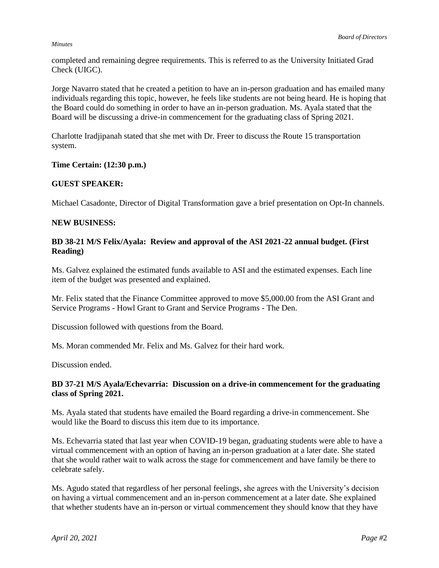#### *Board of Directors*

#### *Minutes*

completed and remaining degree requirements. This is referred to as the University Initiated Grad Check (UIGC).

Jorge Navarro stated that he created a petition to have an in-person graduation and has emailed many individuals regarding this topic, however, he feels like students are not being heard. He is hoping that the Board could do something in order to have an in-person graduation. Ms. Ayala stated that the Board will be discussing a drive-in commencement for the graduating class of Spring 2021.

Charlotte Iradjipanah stated that she met with Dr. Freer to discuss the Route 15 transportation system.

## **Time Certain: (12:30 p.m.)**

# **GUEST SPEAKER:**

Michael Casadonte, Director of Digital Transformation gave a brief presentation on Opt-In channels.

# **NEW BUSINESS:**

# **BD 38-21 M/S Felix/Ayala: Review and approval of the ASI 2021-22 annual budget. (First Reading)**

Ms. Galvez explained the estimated funds available to ASI and the estimated expenses. Each line item of the budget was presented and explained.

Mr. Felix stated that the Finance Committee approved to move \$5,000.00 from the ASI Grant and Service Programs - Howl Grant to Grant and Service Programs - The Den.

Discussion followed with questions from the Board.

Ms. Moran commended Mr. Felix and Ms. Galvez for their hard work.

Discussion ended.

# **BD 37-21 M/S Ayala/Echevarria: Discussion on a drive-in commencement for the graduating class of Spring 2021.**

Ms. Ayala stated that students have emailed the Board regarding a drive-in commencement. She would like the Board to discuss this item due to its importance.

Ms. Echevarria stated that last year when COVID-19 began, graduating students were able to have a virtual commencement with an option of having an in-person graduation at a later date. She stated that she would rather wait to walk across the stage for commencement and have family be there to celebrate safely.

Ms. Agudo stated that regardless of her personal feelings, she agrees with the University's decision on having a virtual commencement and an in-person commencement at a later date. She explained that whether students have an in-person or virtual commencement they should know that they have